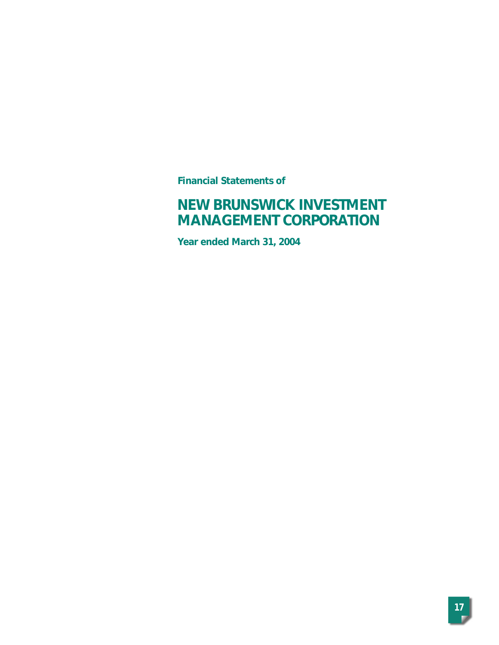**Financial Statements of**

# **NEW BRUNSWICK INVESTMENT MANAGEMENT CORPORATION**

**Year ended March 31, 2004**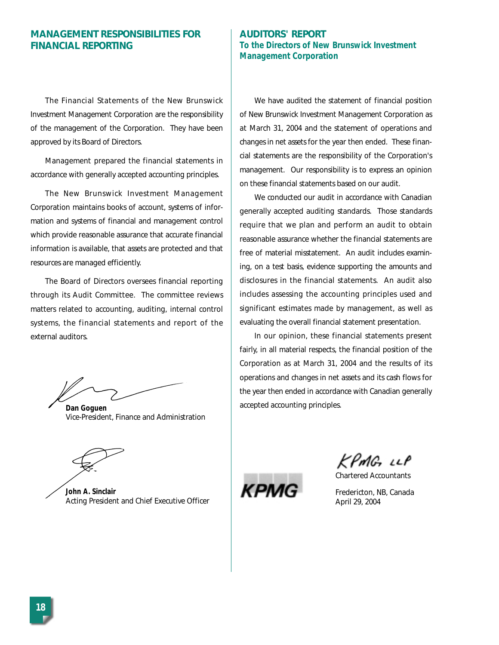# **MANAGEMENT RESPONSIBILITIES FOR FINANCIAL REPORTING**

The Financial Statements of the New Brunswick Investment Management Corporation are the responsibility of the management of the Corporation. They have been approved by its Board of Directors.

Management prepared the financial statements in accordance with generally accepted accounting principles.

The New Brunswick Investment Management Corporation maintains books of account, systems of information and systems of financial and management control which provide reasonable assurance that accurate financial information is available, that assets are protected and that resources are managed efficiently.

The Board of Directors oversees financial reporting through its Audit Committee. The committee reviews matters related to accounting, auditing, internal control systems, the financial statements and report of the external auditors.

*Dan Goguen* Vice-President, Finance and Administration

*John A. Sinclair* Acting President and Chief Executive Officer

# **AUDITORS' REPORT To the Directors of New Brunswick Investment Management Corporation**

We have audited the statement of financial position of New Brunswick Investment Management Corporation as at March 31, 2004 and the statement of operations and changes in net assets for the year then ended. These financial statements are the responsibility of the Corporation's management. Our responsibility is to express an opinion on these financial statements based on our audit.

We conducted our audit in accordance with Canadian generally accepted auditing standards. Those standards require that we plan and perform an audit to obtain reasonable assurance whether the financial statements are free of material misstatement. An audit includes examining, on a test basis, evidence supporting the amounts and disclosures in the financial statements. An audit also includes assessing the accounting principles used and significant estimates made by management, as well as evaluating the overall financial statement presentation.

In our opinion, these financial statements present fairly, in all material respects, the financial position of the Corporation as at March 31, 2004 and the results of its operations and changes in net assets and its cash flows for the year then ended in accordance with Canadian generally accepted accounting principles.

KPMG LLP

Chartered Accountants



Fredericton, NB, Canada April 29, 2004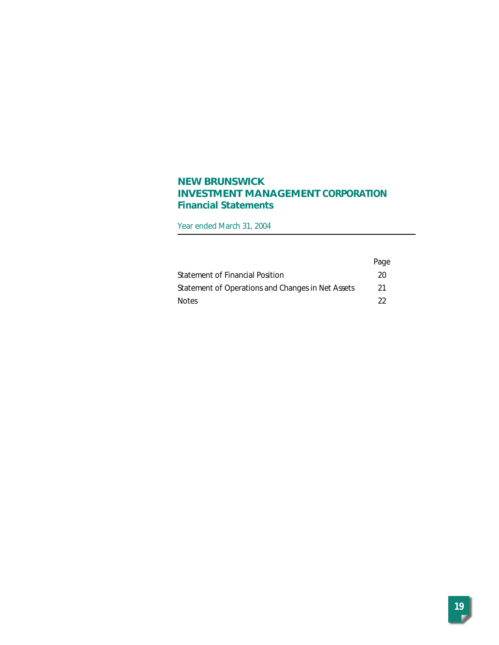# **NEW BRUNSWICK INVESTMENT MANAGEMENT CORPORATION Financial Statements**

Year ended March 31, 2004

|                                                   | Page |
|---------------------------------------------------|------|
| Statement of Financial Position                   | 20   |
| Statement of Operations and Changes in Net Assets | -21  |
| <b>Notes</b>                                      | フフ   |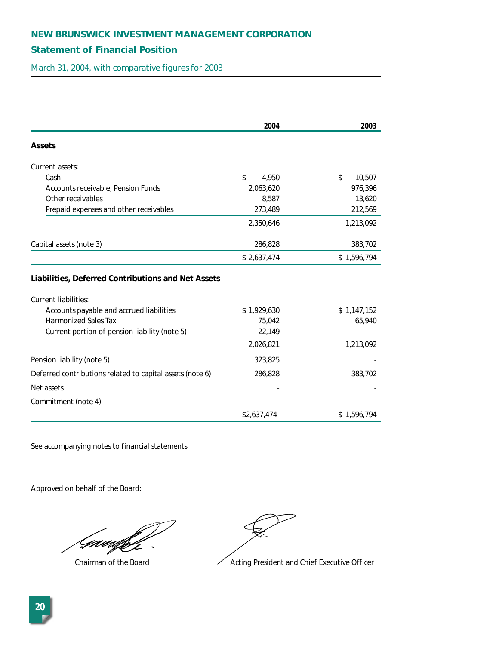# **Statement of Financial Position**

March 31, 2004, with comparative figures for 2003

|                                                                                   | 2004        | 2003         |
|-----------------------------------------------------------------------------------|-------------|--------------|
| <b>Assets</b>                                                                     |             |              |
| Current assets:                                                                   |             |              |
| Cash                                                                              | \$<br>4.950 | \$<br>10,507 |
| Accounts receivable, Pension Funds                                                | 2,063,620   | 976,396      |
| Other receivables                                                                 | 8,587       | 13,620       |
| Prepaid expenses and other receivables                                            | 273,489     | 212,569      |
|                                                                                   | 2,350,646   | 1,213,092    |
| Capital assets (note 3)                                                           | 286,828     | 383,702      |
|                                                                                   | \$2,637,474 | \$1,596,794  |
| Liabilities, Deferred Contributions and Net Assets<br><b>Current liabilities:</b> |             |              |
| Accounts payable and accrued liabilities                                          | \$1,929,630 | \$1,147,152  |
| <b>Harmonized Sales Tax</b>                                                       | 75,042      | 65,940       |
| Current portion of pension liability (note 5)                                     | 22,149      |              |
|                                                                                   | 2,026,821   | 1,213,092    |
| Pension liability (note 5)                                                        | 323,825     |              |
| Deferred contributions related to capital assets (note 6)                         | 286,828     | 383,702      |
| Net assets                                                                        |             |              |
| Commitment (note 4)                                                               |             |              |
|                                                                                   | \$2,637,474 | \$1,596,794  |

See accompanying notes to financial statements.

Approved on behalf of the Board:

Gwedfr

Chairman of the Board **Acting President and Chief Executive Officer**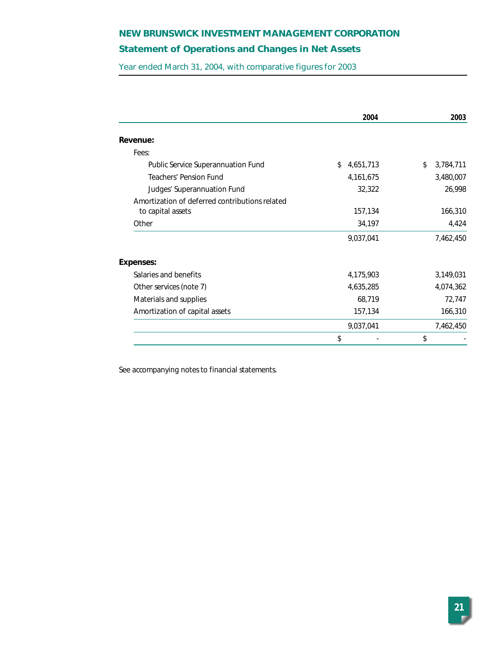# **Statement of Operations and Changes in Net Assets**

Year ended March 31, 2004, with comparative figures for 2003

|                                                | 2004            | 2003            |
|------------------------------------------------|-----------------|-----------------|
| Revenue:                                       |                 |                 |
| Fees:                                          |                 |                 |
| Public Service Superannuation Fund             | \$<br>4,651,713 | 3,784,711<br>\$ |
| Teachers' Pension Fund                         | 4, 161, 675     | 3,480,007       |
| Judges' Superannuation Fund                    | 32,322          | 26,998          |
| Amortization of deferred contributions related |                 |                 |
| to capital assets                              | 157,134         | 166,310         |
| Other                                          | 34,197          | 4,424           |
|                                                | 9,037,041       | 7,462,450       |
| <b>Expenses:</b>                               |                 |                 |
| Salaries and benefits                          | 4,175,903       | 3,149,031       |
| Other services (note 7)                        | 4,635,285       | 4,074,362       |
| Materials and supplies                         | 68,719          | 72,747          |
| Amortization of capital assets                 | 157,134         | 166,310         |
|                                                | 9,037,041       | 7,462,450       |
|                                                | \$              | \$              |

See accompanying notes to financial statements.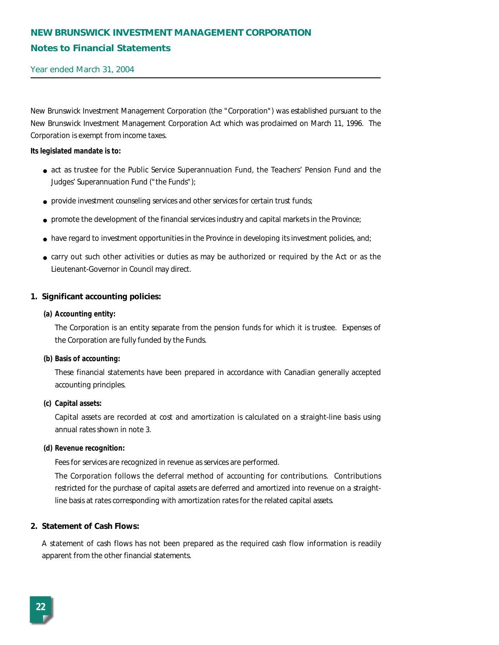# **NEW BRUNSWICK INVESTMENT MANAGEMENT CORPORATION Notes to Financial Statements**

Year ended March 31, 2004

New Brunswick Investment Management Corporation (the "Corporation") was established pursuant to the New Brunswick Investment Management Corporation Act which was proclaimed on March 11, 1996. The Corporation is exempt from income taxes.

#### **Its legislated mandate is to:**

- act as trustee for the Public Service Superannuation Fund, the Teachers' Pension Fund and the Judges' Superannuation Fund ("the Funds");
- provide investment counseling services and other services for certain trust funds;
- promote the development of the financial services industry and capital markets in the Province;
- have regard to investment opportunities in the Province in developing its investment policies, and;
- carry out such other activities or duties as may be authorized or required by the Act or as the Lieutenant-Governor in Council may direct.

### **1. Significant accounting policies:**

#### **(a) Accounting entity:**

The Corporation is an entity separate from the pension funds for which it is trustee. Expenses of the Corporation are fully funded by the Funds.

#### **(b) Basis of accounting:**

These financial statements have been prepared in accordance with Canadian generally accepted accounting principles.

#### **(c) Capital assets:**

Capital assets are recorded at cost and amortization is calculated on a straight-line basis using annual rates shown in note 3.

#### **(d) Revenue recognition:**

Fees for services are recognized in revenue as services are performed.

The Corporation follows the deferral method of accounting for contributions. Contributions restricted for the purchase of capital assets are deferred and amortized into revenue on a straightline basis at rates corresponding with amortization rates for the related capital assets.

#### **2. Statement of Cash Flows:**

A statement of cash flows has not been prepared as the required cash flow information is readily apparent from the other financial statements.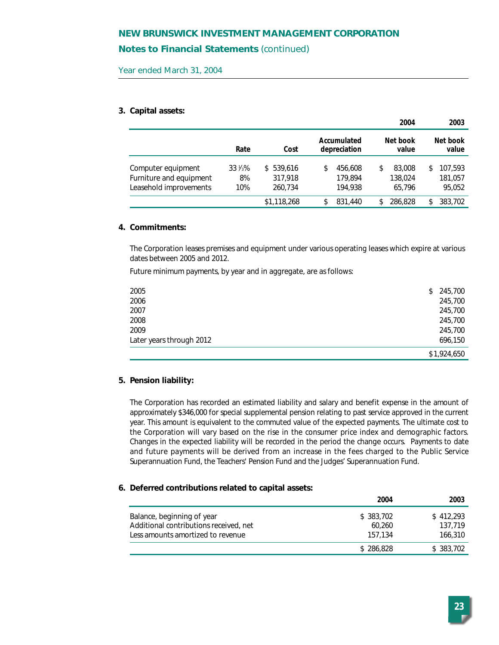## **Notes to Financial Statements** *(continued)*

Year ended March 31, 2004

#### **3. Capital assets:**

|                                                                         |                                |                                 |                                     | 2004                              | 2003                               |
|-------------------------------------------------------------------------|--------------------------------|---------------------------------|-------------------------------------|-----------------------------------|------------------------------------|
|                                                                         | Rate                           | Cost                            | Accumulated<br>depreciation         | Net book<br>value                 | Net book<br>value                  |
| Computer equipment<br>Furniture and equipment<br>Leasehold improvements | $33\frac{1}{3}\%$<br>8%<br>10% | \$539.616<br>317.918<br>260.734 | 456,608<br>\$<br>179.894<br>194.938 | 83,008<br>\$<br>138,024<br>65.796 | 107.593<br>\$<br>181,057<br>95,052 |
|                                                                         |                                | \$1,118,268                     | 831,440<br>\$                       | 286,828                           | 383.702<br>\$                      |

#### **4. Commitments:**

The Corporation leases premises and equipment under various operating leases which expire at various dates between 2005 and 2012.

Future minimum payments, by year and in aggregate, are as follows:

| 2005                     | 245,700<br>\$ |
|--------------------------|---------------|
| 2006                     | 245,700       |
| 2007                     | 245,700       |
| 2008                     | 245,700       |
| 2009                     | 245,700       |
| Later years through 2012 | 696,150       |
|                          | \$1,924,650   |

#### **5. Pension liability:**

The Corporation has recorded an estimated liability and salary and benefit expense in the amount of approximately \$346,000 for special supplemental pension relating to past service approved in the current year. This amount is equivalent to the commuted value of the expected payments. The ultimate cost to the Corporation will vary based on the rise in the consumer price index and demographic factors. Changes in the expected liability will be recorded in the period the change occurs. Payments to date and future payments will be derived from an increase in the fees charged to the Public Service Superannuation Fund, the Teachers' Pension Fund and the Judges' Superannuation Fund.

#### **6. Deferred contributions related to capital assets:**

|                                                                      | 2004                 | 2003                 |
|----------------------------------------------------------------------|----------------------|----------------------|
| Balance, beginning of year<br>Additional contributions received, net | \$ 383,702<br>60.260 | \$412.293<br>137.719 |
| Less amounts amortized to revenue                                    | 157.134              | 166,310              |
|                                                                      | \$286,828            | \$383,702            |
|                                                                      |                      |                      |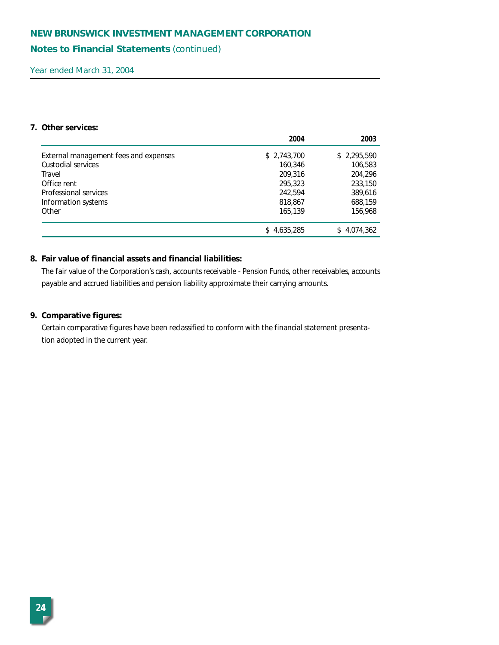## **Notes to Financial Statements** *(continued)*

Year ended March 31, 2004

## **7. Other services:**

|                                       | 2004        | 2003        |
|---------------------------------------|-------------|-------------|
| External management fees and expenses | \$2,743,700 | \$2,295,590 |
| Custodial services                    | 160,346     | 106,583     |
| Travel                                | 209,316     | 204,296     |
| Office rent                           | 295,323     | 233,150     |
| Professional services                 | 242.594     | 389,616     |
| Information systems                   | 818,867     | 688,159     |
| Other                                 | 165,139     | 156,968     |
|                                       | \$4,635,285 | \$4,074,362 |

## **8. Fair value of financial assets and financial liabilities:**

The fair value of the Corporation's cash, accounts receivable - Pension Funds, other receivables, accounts payable and accrued liabilities and pension liability approximate their carrying amounts.

## **9. Comparative figures:**

Certain comparative figures have been reclassified to conform with the financial statement presentation adopted in the current year.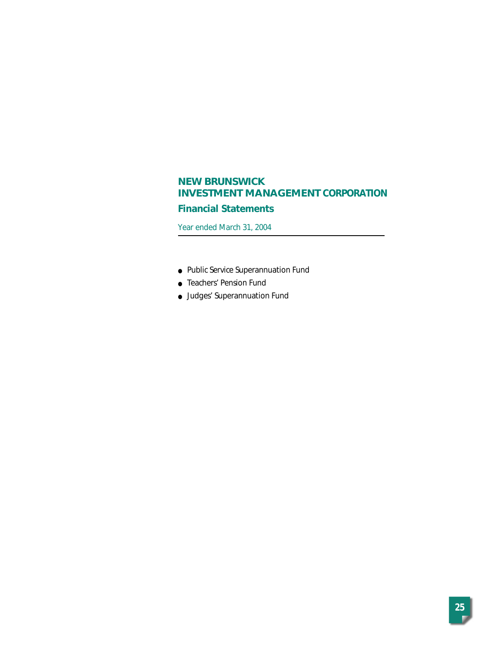# **Financial Statements**

Year ended March 31, 2004

- Public Service Superannuation Fund
- Teachers' Pension Fund
- Judges' Superannuation Fund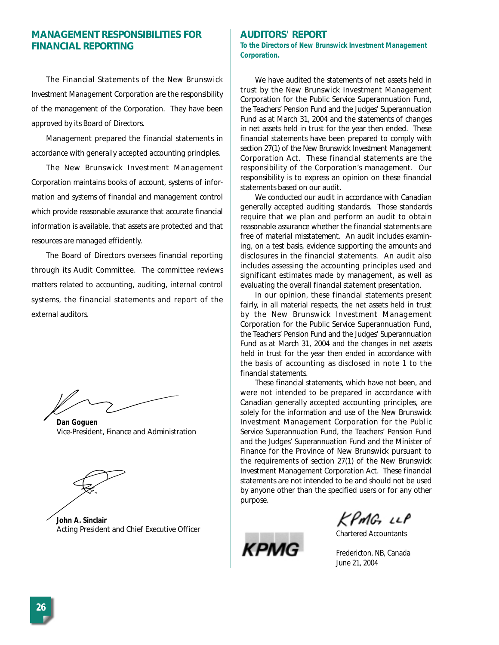# **MANAGEMENT RESPONSIBILITIES FOR FINANCIAL REPORTING**

The Financial Statements of the New Brunswick Investment Management Corporation are the responsibility of the management of the Corporation. They have been approved by its Board of Directors.

Management prepared the financial statements in accordance with generally accepted accounting principles.

The New Brunswick Investment Management Corporation maintains books of account, systems of information and systems of financial and management control which provide reasonable assurance that accurate financial information is available, that assets are protected and that resources are managed efficiently.

The Board of Directors oversees financial reporting through its Audit Committee. The committee reviews matters related to accounting, auditing, internal control systems, the financial statements and report of the external auditors.

*Dan Goguen* Vice-President, Finance and Administration

*John A. Sinclair* Acting President and Chief Executive Officer

#### **AUDITORS' REPORT**

**To the Directors of New Brunswick Investment Management Corporation.** 

We have audited the statements of net assets held in trust by the New Brunswick Investment Management Corporation for the Public Service Superannuation Fund, the Teachers' Pension Fund and the Judges' Superannuation Fund as at March 31, 2004 and the statements of changes in net assets held in trust for the year then ended. These financial statements have been prepared to comply with section 27(1) of the *New Brunswick Investment Management Corporation Act*. These financial statements are the responsibility of the Corporation's management. Our responsibility is to express an opinion on these financial statements based on our audit.

We conducted our audit in accordance with Canadian generally accepted auditing standards. Those standards require that we plan and perform an audit to obtain reasonable assurance whether the financial statements are free of material misstatement. An audit includes examining, on a test basis, evidence supporting the amounts and disclosures in the financial statements. An audit also includes assessing the accounting principles used and significant estimates made by management, as well as evaluating the overall financial statement presentation.

In our opinion, these financial statements present fairly, in all material respects, the net assets held in trust by the New Brunswick Investment Management Corporation for the Public Service Superannuation Fund, the Teachers' Pension Fund and the Judges' Superannuation Fund as at March 31, 2004 and the changes in net assets held in trust for the year then ended in accordance with the basis of accounting as disclosed in note 1 to the financial statements.

These financial statements, which have not been, and were not intended to be prepared in accordance with Canadian generally accepted accounting principles, are solely for the information and use of the New Brunswick Investment Management Corporation for the Public Service Superannuation Fund, the Teachers' Pension Fund and the Judges' Superannuation Fund and the Minister of Finance for the Province of New Brunswick pursuant to the requirements of section 27(1) of the *New Brunswick Investment Management Corporation Act*. These financial statements are not intended to be and should not be used by anyone other than the specified users or for any other purpose.

**KPM** 

PMG LLP

Chartered Accountants

Fredericton, NB, Canada June 21, 2004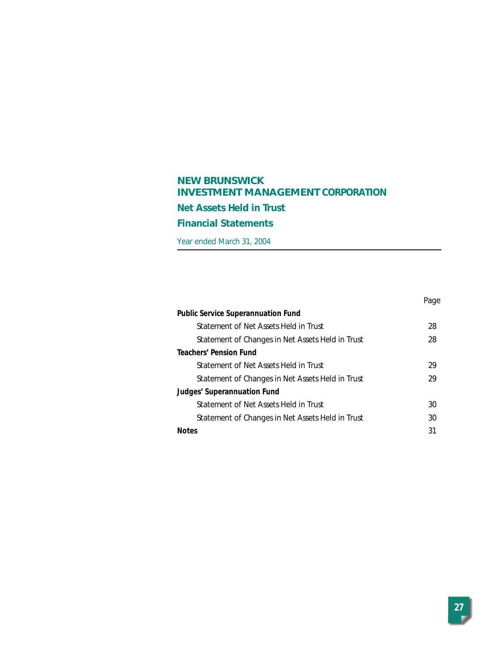# **NEW BRUNSWICK INVESTMENT MANAGEMENT CORPORATION Net Assets Held in Trust Financial Statements**

Year ended March 31, 2004

|                                                  | Page |
|--------------------------------------------------|------|
| <b>Public Service Superannuation Fund</b>        |      |
| Statement of Net Assets Held in Trust            | 28   |
| Statement of Changes in Net Assets Held in Trust | 28   |
| <b>Teachers' Pension Fund</b>                    |      |
| Statement of Net Assets Held in Trust            | 29   |
| Statement of Changes in Net Assets Held in Trust | 29   |
| Judges' Superannuation Fund                      |      |
| Statement of Net Assets Held in Trust            | 30   |
| Statement of Changes in Net Assets Held in Trust | 30   |
| <b>Notes</b>                                     | 31   |
|                                                  |      |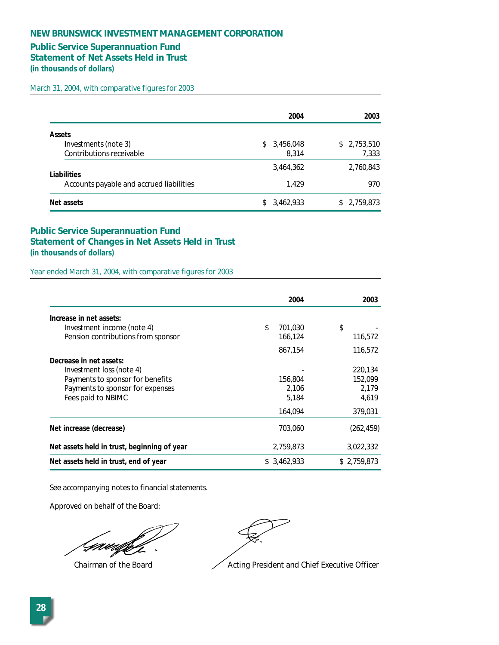## **Public Service Superannuation Fund**

**Statement of Net Assets Held in Trust** 

**(in thousands of dollars)** 

March 31, 2004, with comparative figures for 2003

|                                          |    | 2004      | 2003        |
|------------------------------------------|----|-----------|-------------|
| <b>Assets</b>                            |    |           |             |
| Investments (note 3)                     | S. | 3,456,048 | \$2,753,510 |
| Contributions receivable                 |    | 8.314     | 7,333       |
| Liabilities                              |    | 3,464,362 | 2,760,843   |
| Accounts payable and accrued liabilities |    | 1.429     | 970         |
| Net assets                               | S. | 3,462,933 | \$2,759,873 |

## **Public Service Superannuation Fund Statement of Changes in Net Assets Held in Trust (in thousands of dollars)**

Year ended March 31, 2004, with comparative figures for 2003

|                                             | 2004          | 2003        |
|---------------------------------------------|---------------|-------------|
| Increase in net assets:                     |               |             |
| Investment income (note 4)                  | \$<br>701.030 | \$          |
| Pension contributions from sponsor          | 166,124       | 116,572     |
|                                             | 867,154       | 116,572     |
| Decrease in net assets:                     |               |             |
| Investment loss (note 4)                    |               | 220,134     |
| Payments to sponsor for benefits            | 156,804       | 152.099     |
| Payments to sponsor for expenses            | 2,106         | 2,179       |
| Fees paid to NBIMC                          | 5.184         | 4,619       |
|                                             | 164.094       | 379,031     |
| Net increase (decrease)                     | 703,060       | (262, 459)  |
| Net assets held in trust, beginning of year | 2,759,873     | 3,022,332   |
| Net assets held in trust, end of year       | \$ 3.462.933  | \$2.759.873 |

See accompanying notes to financial statements.

Approved on behalf of the Board:

Gawi

Chairman of the Board  $\sim$  Acting President and Chief Executive Officer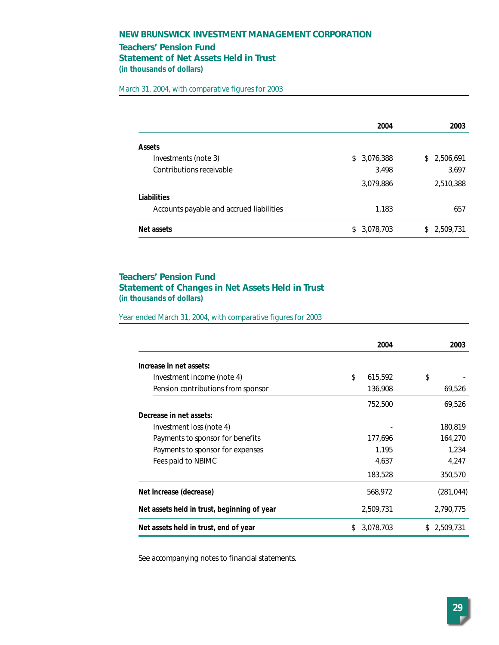## **Teachers' Pension Fund Statement of Net Assets Held in Trust (in thousands of dollars)**

March 31, 2004, with comparative figures for 2003

|                                          | 2004            | 2003            |
|------------------------------------------|-----------------|-----------------|
| <b>Assets</b>                            |                 |                 |
| Investments (note 3)                     | 3,076,388<br>\$ | 2,506,691<br>\$ |
| Contributions receivable                 | 3,498           | 3,697           |
|                                          | 3,079,886       | 2,510,388       |
| Liabilities                              |                 |                 |
| Accounts payable and accrued liabilities | 1,183           | 657             |
| Net assets                               | 3,078,703<br>\$ | 2,509,731<br>S. |

## **Teachers' Pension Fund Statement of Changes in Net Assets Held in Trust (in thousands of dollars)**

Year ended March 31, 2004, with comparative figures for 2003

|                                             | 2004             | 2003        |
|---------------------------------------------|------------------|-------------|
| Increase in net assets:                     |                  |             |
| Investment income (note 4)                  | \$<br>615,592    | \$          |
| Pension contributions from sponsor          | 136,908          | 69,526      |
|                                             | 752,500          | 69,526      |
| Decrease in net assets:                     |                  |             |
| Investment loss (note 4)                    |                  | 180,819     |
| Payments to sponsor for benefits            | 177,696          | 164,270     |
| Payments to sponsor for expenses            | 1,195            | 1,234       |
| Fees paid to NBIMC                          | 4,637            | 4,247       |
|                                             | 183,528          | 350,570     |
| Net increase (decrease)                     | 568,972          | (281, 044)  |
| Net assets held in trust, beginning of year | 2,509,731        | 2,790,775   |
| Net assets held in trust, end of year       | 3,078,703<br>\$. | \$2,509,731 |

See accompanying notes to financial statements.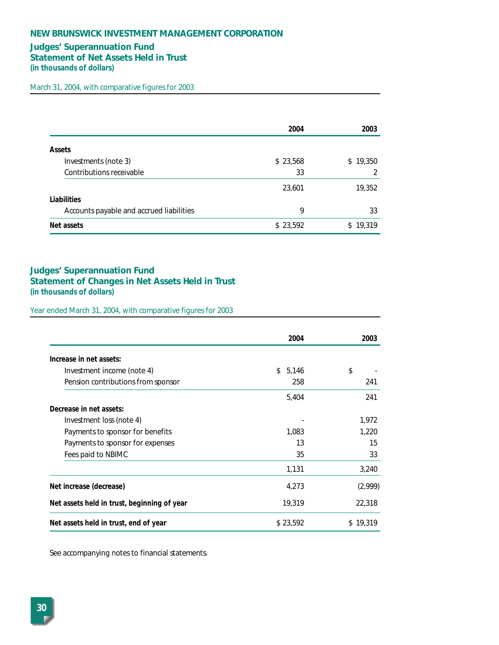## **Judges' Superannuation Fund Statement of Net Assets Held in Trust (in thousands of dollars)**

March 31, 2004, with comparative figures for 2003

|                                          | 2004     | 2003     |
|------------------------------------------|----------|----------|
| <b>Assets</b>                            |          |          |
| Investments (note 3)                     | \$23,568 | \$19,350 |
| Contributions receivable                 | 33       | 2        |
|                                          | 23,601   | 19,352   |
| Liabilities                              |          |          |
| Accounts payable and accrued liabilities | 9        | 33       |
| Net assets                               | \$23,592 | \$19,319 |

## **Judges' Superannuation Fund Statement of Changes in Net Assets Held in Trust (in thousands of dollars)**

Year ended March 31, 2004, with comparative figures for 2003

|                                             | 2004        | 2003     |
|---------------------------------------------|-------------|----------|
| Increase in net assets:                     |             |          |
| Investment income (note 4)                  | \$<br>5,146 | \$       |
| Pension contributions from sponsor          | 258         | 241      |
|                                             | 5,404       | 241      |
| Decrease in net assets:                     |             |          |
| Investment loss (note 4)                    |             | 1,972    |
| Payments to sponsor for benefits            | 1,083       | 1,220    |
| Payments to sponsor for expenses            | 13          | 15       |
| Fees paid to NBIMC                          | 35          | 33       |
|                                             | 1,131       | 3,240    |
| Net increase (decrease)                     | 4,273       | (2,999)  |
| Net assets held in trust, beginning of year | 19,319      | 22,318   |
| Net assets held in trust, end of year       | \$23,592    | \$19,319 |

See accompanying notes to financial statements.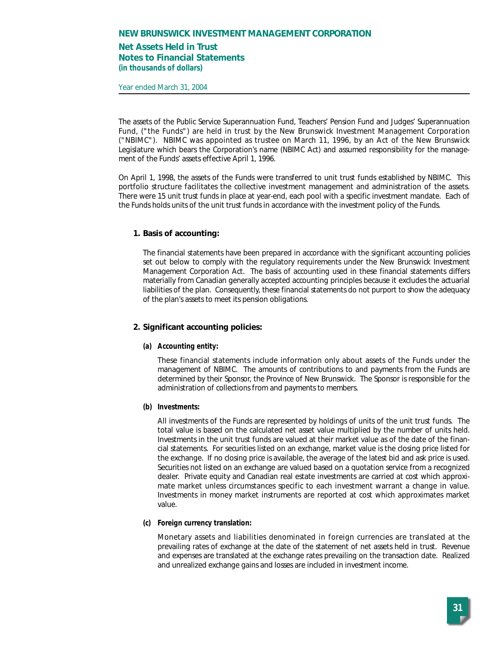## **Net Assets Held in Trust Notes to Financial Statements (in thousands of dollars)**

Year ended March 31, 2004

The assets of the Public Service Superannuation Fund, Teachers' Pension Fund and Judges' Superannuation Fund, ("the Funds") are held in trust by the New Brunswick Investment Management Corporation ("NBIMC"). NBIMC was appointed as trustee on March 11, 1996, by an Act of the New Brunswick Legislature which bears the Corporation's name (NBIMC Act) and assumed responsibility for the management of the Funds' assets effective April 1, 1996.

On April 1, 1998, the assets of the Funds were transferred to unit trust funds established by NBIMC. This portfolio structure facilitates the collective investment management and administration of the assets. There were 15 unit trust funds in place at year-end, each pool with a specific investment mandate. Each of the Funds holds units of the unit trust funds in accordance with the investment policy of the Funds.

### **1. Basis of accounting:**

The financial statements have been prepared in accordance with the significant accounting policies set out below to comply with the regulatory requirements under the New Brunswick Investment Management Corporation Act. The basis of accounting used in these financial statements differs materially from Canadian generally accepted accounting principles because it excludes the actuarial liabilities of the plan. Consequently, these financial statements do not purport to show the adequacy of the plan's assets to meet its pension obligations.

## **2. Significant accounting policies:**

#### **(a) Accounting entity:**

These financial statements include information only about assets of the Funds under the management of NBIMC. The amounts of contributions to and payments from the Funds are determined by their Sponsor, the Province of New Brunswick. The Sponsor is responsible for the administration of collections from and payments to members.

#### **(b) Investments:**

All investments of the Funds are represented by holdings of units of the unit trust funds. The total value is based on the calculated net asset value multiplied by the number of units held. Investments in the unit trust funds are valued at their market value as of the date of the financial statements. For securities listed on an exchange, market value is the closing price listed for the exchange. If no closing price is available, the average of the latest bid and ask price is used. Securities not listed on an exchange are valued based on a quotation service from a recognized dealer. Private equity and Canadian real estate investments are carried at cost which approximate market unless circumstances specific to each investment warrant a change in value. Investments in money market instruments are reported at cost which approximates market value.

#### **(c) Foreign currency translation:**

Monetary assets and liabilities denominated in foreign currencies are translated at the prevailing rates of exchange at the date of the statement of net assets held in trust. Revenue and expenses are translated at the exchange rates prevailing on the transaction date. Realized and unrealized exchange gains and losses are included in investment income.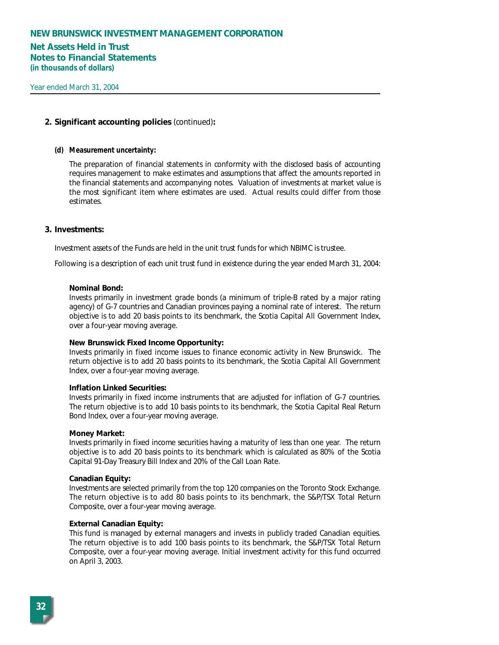### **Net Assets Held in Trust Notes to Financial Statements (in thousands of dollars)**

### **2. Significant accounting policies** *(continued)***:**

#### **(d) Measurement uncertainty:**

The preparation of financial statements in conformity with the disclosed basis of accounting requires management to make estimates and assumptions that affect the amounts reported in the financial statements and accompanying notes. Valuation of investments at market value is the most significant item where estimates are used. Actual results could differ from those estimates.

#### **3. Investments:**

Investment assets of the Funds are held in the unit trust funds for which NBIMC is trustee.

Following is a description of each unit trust fund in existence during the year ended March 31, 2004:

#### **Nominal Bond:**

Invests primarily in investment grade bonds (a minimum of triple-B rated by a major rating agency) of G-7 countries and Canadian provinces paying a nominal rate of interest. The return objective is to add 20 basis points to its benchmark, the Scotia Capital All Government Index, over a four-year moving average.

#### **New Brunswick Fixed Income Opportunity:**

Invests primarily in fixed income issues to finance economic activity in New Brunswick. The return objective is to add 20 basis points to its benchmark, the Scotia Capital All Government Index, over a four-year moving average.

#### **Inflation Linked Securities:**

Invests primarily in fixed income instruments that are adjusted for inflation of G-7 countries. The return objective is to add 10 basis points to its benchmark, the Scotia Capital Real Return Bond Index, over a four-year moving average.

#### **Money Market:**

Invests primarily in fixed income securities having a maturity of less than one year. The return objective is to add 20 basis points to its benchmark which is calculated as 80% of the Scotia Capital 91-Day Treasury Bill Index and 20% of the Call Loan Rate.

#### **Canadian Equity:**

Investments are selected primarily from the top 120 companies on the Toronto Stock Exchange. The return objective is to add 80 basis points to its benchmark, the S&P/TSX Total Return Composite, over a four-year moving average.

#### **External Canadian Equity:**

This fund is managed by external managers and invests in publicly traded Canadian equities. The return objective is to add 100 basis points to its benchmark, the S&P/TSX Total Return Composite, over a four-year moving average. Initial investment activity for this fund occurred on April 3, 2003.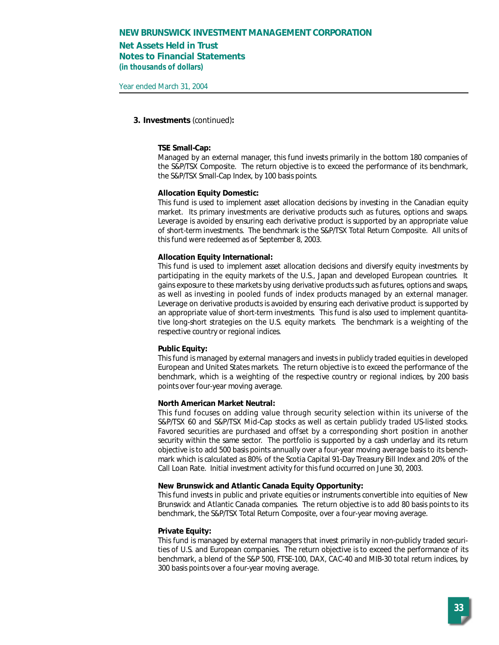## **Net Assets Held in Trust Notes to Financial Statements (in thousands of dollars)**

Year ended March 31, 2004

#### **3. Investments** *(continued)***:**

#### **TSE Small-Cap:**

Managed by an external manager, this fund invests primarily in the bottom 180 companies of the S&P/TSX Composite. The return objective is to exceed the performance of its benchmark, the S&P/TSX Small-Cap Index, by 100 basis points.

#### **Allocation Equity Domestic:**

This fund is used to implement asset allocation decisions by investing in the Canadian equity market. Its primary investments are derivative products such as futures, options and swaps. Leverage is avoided by ensuring each derivative product is supported by an appropriate value of short-term investments. The benchmark is the S&P/TSX Total Return Composite. All units of this fund were redeemed as of September 8, 2003.

#### **Allocation Equity International:**

This fund is used to implement asset allocation decisions and diversify equity investments by participating in the equity markets of the U.S., Japan and developed European countries. It gains exposure to these markets by using derivative products such as futures, options and swaps, as well as investing in pooled funds of index products managed by an external manager. Leverage on derivative products is avoided by ensuring each derivative product is supported by an appropriate value of short-term investments. This fund is also used to implement quantitative long-short strategies on the U.S. equity markets. The benchmark is a weighting of the respective country or regional indices.

#### **Public Equity:**

This fund is managed by external managers and invests in publicly traded equities in developed European and United States markets. The return objective is to exceed the performance of the benchmark, which is a weighting of the respective country or regional indices, by 200 basis points over four-year moving average.

#### **North American Market Neutral:**

This fund focuses on adding value through security selection within its universe of the S&P/TSX 60 and S&P/TSX Mid-Cap stocks as well as certain publicly traded US-listed stocks. Favored securities are purchased and offset by a corresponding short position in another security within the same sector. The portfolio is supported by a cash underlay and its return objective is to add 500 basis points annually over a four-year moving average basis to its benchmark which is calculated as 80% of the Scotia Capital 91-Day Treasury Bill Index and 20% of the Call Loan Rate. Initial investment activity for this fund occurred on June 30, 2003.

#### **New Brunswick and Atlantic Canada Equity Opportunity:**

This fund invests in public and private equities or instruments convertible into equities of New Brunswick and Atlantic Canada companies. The return objective is to add 80 basis points to its benchmark, the S&P/TSX Total Return Composite, over a four-year moving average.

#### **Private Equity:**

This fund is managed by external managers that invest primarily in non-publicly traded securities of U.S. and European companies. The return objective is to exceed the performance of its benchmark, a blend of the S&P 500, FTSE-100, DAX, CAC-40 and MIB-30 total return indices, by 300 basis points over a four-year moving average.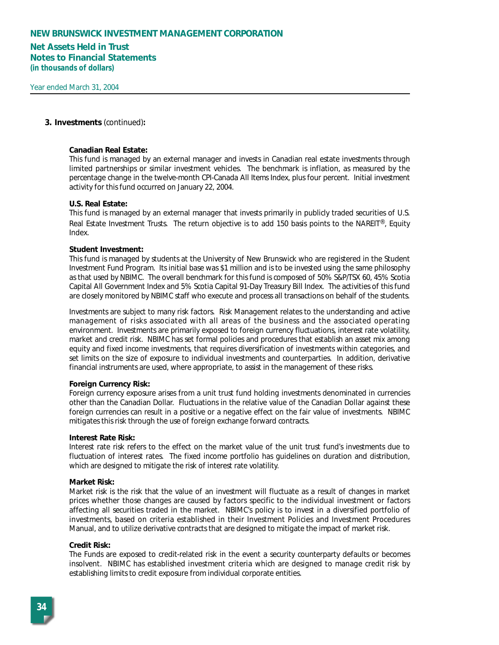## **Net Assets Held in Trust Notes to Financial Statements (in thousands of dollars)**

#### **3. Investments** *(continued)***:**

#### **Canadian Real Estate:**

This fund is managed by an external manager and invests in Canadian real estate investments through limited partnerships or similar investment vehicles. The benchmark is inflation, as measured by the percentage change in the twelve-month CPI-Canada All Items Index, plus four percent. Initial investment activity for this fund occurred on January 22, 2004.

#### **U.S. Real Estate:**

This fund is managed by an external manager that invests primarily in publicly traded securities of U.S. Real Estate Investment Trusts. The return objective is to add 150 basis points to the NAREIT®, Equity Index.

#### **Student Investment:**

This fund is managed by students at the University of New Brunswick who are registered in the Student Investment Fund Program. Its initial base was \$1 million and is to be invested using the same philosophy as that used by NBIMC. The overall benchmark for this fund is composed of 50% S&P/TSX 60, 45% Scotia Capital All Government Index and 5% Scotia Capital 91-Day Treasury Bill Index. The activities of this fund are closely monitored by NBIMC staff who execute and process all transactions on behalf of the students.

Investments are subject to many risk factors. Risk Management relates to the understanding and active management of risks associated with all areas of the business and the associated operating environment. Investments are primarily exposed to foreign currency fluctuations, interest rate volatility, market and credit risk. NBIMC has set formal policies and procedures that establish an asset mix among equity and fixed income investments, that requires diversification of investments within categories, and set limits on the size of exposure to individual investments and counterparties. In addition, derivative financial instruments are used, where appropriate, to assist in the management of these risks.

#### **Foreign Currency Risk:**

Foreign currency exposure arises from a unit trust fund holding investments denominated in currencies other than the Canadian Dollar. Fluctuations in the relative value of the Canadian Dollar against these foreign currencies can result in a positive or a negative effect on the fair value of investments. NBIMC mitigates this risk through the use of foreign exchange forward contracts.

#### **Interest Rate Risk:**

Interest rate risk refers to the effect on the market value of the unit trust fund's investments due to fluctuation of interest rates. The fixed income portfolio has guidelines on duration and distribution, which are designed to mitigate the risk of interest rate volatility.

#### **Market Risk:**

Market risk is the risk that the value of an investment will fluctuate as a result of changes in market prices whether those changes are caused by factors specific to the individual investment or factors affecting all securities traded in the market. NBIMC's policy is to invest in a diversified portfolio of investments, based on criteria established in their Investment Policies and Investment Procedures Manual, and to utilize derivative contracts that are designed to mitigate the impact of market risk.

#### **Credit Risk:**

The Funds are exposed to credit-related risk in the event a security counterparty defaults or becomes insolvent. NBIMC has established investment criteria which are designed to manage credit risk by establishing limits to credit exposure from individual corporate entities.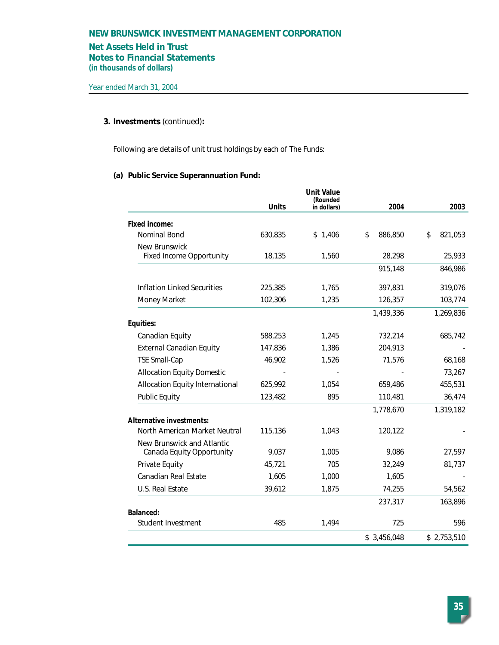## **Net Assets Held in Trust**

**Notes to Financial Statements**

**(in thousands of dollars)**

## **3. Investments** *(continued)***:**

Following are details of unit trust holdings by each of The Funds:

## **(a) Public Service Superannuation Fund:**

|                                   |              | <b>Unit Value</b><br>(Rounded |               |               |
|-----------------------------------|--------------|-------------------------------|---------------|---------------|
|                                   | <b>Units</b> | in dollars)                   | 2004          | 2003          |
| <b>Fixed income:</b>              |              |                               |               |               |
| Nominal Bond                      | 630,835      | \$1,406                       | \$<br>886,850 | \$<br>821,053 |
| New Brunswick                     |              |                               |               |               |
| <b>Fixed Income Opportunity</b>   | 18,135       | 1,560                         | 28,298        | 25,933        |
|                                   |              |                               | 915,148       | 846,986       |
| Inflation Linked Securities       | 225,385      | 1,765                         | 397,831       | 319,076       |
| Money Market                      | 102,306      | 1,235                         | 126,357       | 103,774       |
|                                   |              |                               | 1,439,336     | 1,269,836     |
| Equities:                         |              |                               |               |               |
| Canadian Equity                   | 588,253      | 1,245                         | 732,214       | 685,742       |
| <b>External Canadian Equity</b>   | 147,836      | 1,386                         | 204,913       |               |
| <b>TSE Small-Cap</b>              | 46,902       | 1,526                         | 71,576        | 68,168        |
| <b>Allocation Equity Domestic</b> |              |                               |               | 73,267        |
| Allocation Equity International   | 625,992      | 1,054                         | 659,486       | 455,531       |
| <b>Public Equity</b>              | 123,482      | 895                           | 110,481       | 36,474        |
|                                   |              |                               | 1,778,670     | 1,319,182     |
| Alternative investments:          |              |                               |               |               |
| North American Market Neutral     | 115,136      | 1,043                         | 120,122       |               |
| New Brunswick and Atlantic        |              |                               |               |               |
| Canada Equity Opportunity         | 9,037        | 1,005                         | 9,086         | 27,597        |
| Private Equity                    | 45,721       | 705                           | 32,249        | 81,737        |
| <b>Canadian Real Estate</b>       | 1,605        | 1,000                         | 1,605         |               |
| U.S. Real Estate                  | 39,612       | 1,875                         | 74,255        | 54,562        |
|                                   |              |                               | 237,317       | 163,896       |
| <b>Balanced:</b>                  |              |                               |               |               |
| Student Investment                | 485          | 1,494                         | 725           | 596           |
|                                   |              |                               | \$3,456,048   | \$2,753,510   |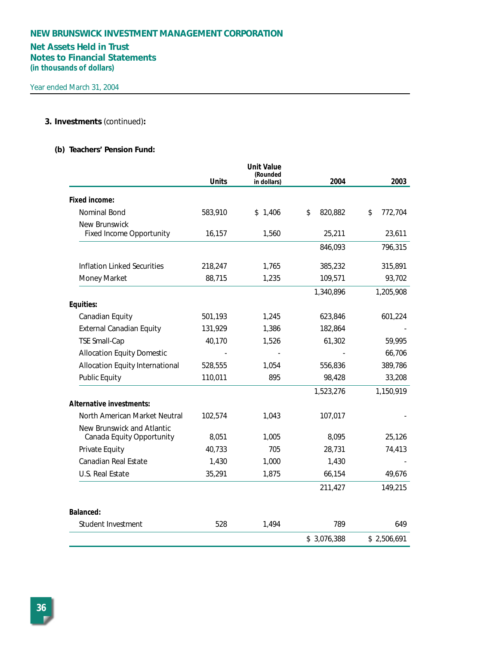# **Net Assets Held in Trust Notes to Financial Statements**

**(in thousands of dollars)**

## **3. Investments** *(continued)***:**

## **(b) Teachers' Pension Fund:**

|                                    |              | <b>Unit Value</b><br>(Rounded |               |               |
|------------------------------------|--------------|-------------------------------|---------------|---------------|
|                                    | <b>Units</b> | in dollars)                   | 2004          | 2003          |
| Fixed income:                      |              |                               |               |               |
| Nominal Bond                       | 583,910      | \$1,406                       | \$<br>820,882 | \$<br>772,704 |
| <b>New Brunswick</b>               |              |                               |               |               |
| <b>Fixed Income Opportunity</b>    | 16,157       | 1,560                         | 25,211        | 23,611        |
|                                    |              |                               | 846,093       | 796,315       |
| <b>Inflation Linked Securities</b> | 218,247      | 1,765                         | 385,232       | 315,891       |
| Money Market                       | 88,715       | 1,235                         | 109,571       | 93,702        |
|                                    |              |                               | 1,340,896     | 1,205,908     |
| Equities:                          |              |                               |               |               |
| Canadian Equity                    | 501,193      | 1,245                         | 623,846       | 601,224       |
| <b>External Canadian Equity</b>    | 131,929      | 1,386                         | 182,864       |               |
| <b>TSE Small-Cap</b>               | 40,170       | 1,526                         | 61,302        | 59,995        |
| <b>Allocation Equity Domestic</b>  |              |                               |               | 66,706        |
| Allocation Equity International    | 528,555      | 1,054                         | 556,836       | 389,786       |
| <b>Public Equity</b>               | 110,011      | 895                           | 98,428        | 33,208        |
|                                    |              |                               | 1,523,276     | 1,150,919     |
| Alternative investments:           |              |                               |               |               |
| North American Market Neutral      | 102,574      | 1,043                         | 107,017       |               |
| New Brunswick and Atlantic         |              |                               |               |               |
| Canada Equity Opportunity          | 8,051        | 1,005                         | 8,095         | 25,126        |
| Private Equity                     | 40,733       | 705                           | 28,731        | 74,413        |
| Canadian Real Estate               | 1,430        | 1,000                         | 1,430         |               |
| U.S. Real Estate                   | 35,291       | 1,875                         | 66,154        | 49,676        |
|                                    |              |                               | 211,427       | 149,215       |
| Balanced:                          |              |                               |               |               |
| Student Investment                 | 528          | 1,494                         | 789           | 649           |
|                                    |              |                               | \$3,076,388   | \$2,506,691   |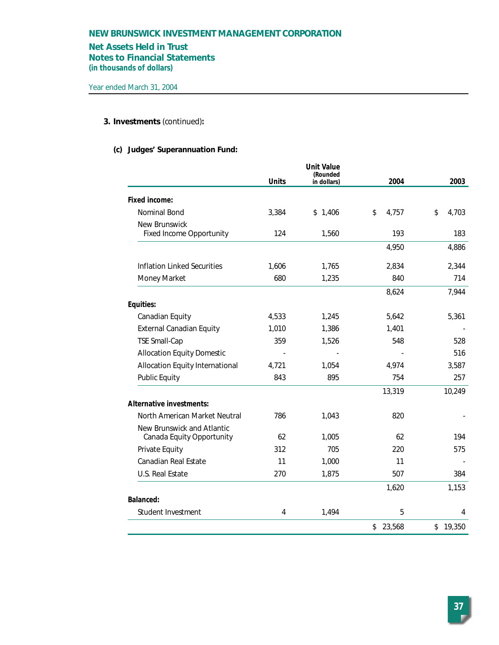## **Net Assets Held in Trust**

**Notes to Financial Statements**

**(in thousands of dollars)**

## **3. Investments** *(continued)***:**

# **(c) Judges' Superannuation Fund:**

|                                    |              | <b>Unit Value</b><br>(Rounded |              |             |
|------------------------------------|--------------|-------------------------------|--------------|-------------|
|                                    | <b>Units</b> | in dollars)                   | 2004         | 2003        |
| Fixed income:                      |              |                               |              |             |
| Nominal Bond                       | 3,384        | \$1,406                       | \$<br>4,757  | \$<br>4,703 |
| New Brunswick                      |              |                               |              |             |
| <b>Fixed Income Opportunity</b>    | 124          | 1,560                         | 193          | 183         |
|                                    |              |                               | 4,950        | 4,886       |
| <b>Inflation Linked Securities</b> | 1,606        | 1,765                         | 2,834        | 2,344       |
| Money Market                       | 680          | 1,235                         | 840          | 714         |
|                                    |              |                               | 8,624        | 7,944       |
| Equities:                          |              |                               |              |             |
| Canadian Equity                    | 4,533        | 1,245                         | 5,642        | 5,361       |
| <b>External Canadian Equity</b>    | 1,010        | 1,386                         | 1,401        |             |
| <b>TSE Small-Cap</b>               | 359          | 1,526                         | 548          | 528         |
| <b>Allocation Equity Domestic</b>  |              |                               |              | 516         |
| Allocation Equity International    | 4,721        | 1,054                         | 4,974        | 3,587       |
| <b>Public Equity</b>               | 843          | 895                           | 754          | 257         |
|                                    |              |                               | 13,319       | 10,249      |
| Alternative investments:           |              |                               |              |             |
| North American Market Neutral      | 786          | 1,043                         | 820          |             |
| New Brunswick and Atlantic         |              |                               |              |             |
| Canada Equity Opportunity          | 62           | 1,005                         | 62           | 194         |
| Private Equity                     | 312          | 705                           | 220          | 575         |
| <b>Canadian Real Estate</b>        | 11           | 1,000                         | 11           |             |
| U.S. Real Estate                   | 270          | 1,875                         | 507          | 384         |
|                                    |              |                               | 1,620        | 1,153       |
| <b>Balanced:</b>                   |              |                               |              |             |
| Student Investment                 | 4            | 1,494                         | 5            | 4           |
|                                    |              |                               | 23,568<br>\$ | \$19,350    |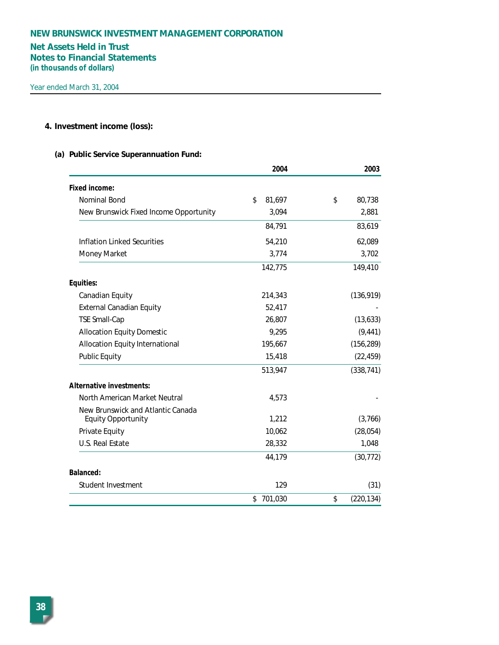# **Net Assets Held in Trust Notes to Financial Statements**

**(in thousands of dollars)**

## **4. Investment income (loss):**

## **(a) Public Service Superannuation Fund:**

|                                                                | 2004          | 2003             |
|----------------------------------------------------------------|---------------|------------------|
| <b>Fixed income:</b>                                           |               |                  |
| Nominal Bond                                                   | \$<br>81,697  | \$<br>80,738     |
| New Brunswick Fixed Income Opportunity                         | 3,094         | 2,881            |
|                                                                | 84,791        | 83,619           |
| <b>Inflation Linked Securities</b>                             | 54,210        | 62,089           |
| Money Market                                                   | 3,774         | 3,702            |
|                                                                | 142,775       | 149,410          |
| Equities:                                                      |               |                  |
| Canadian Equity                                                | 214,343       | (136, 919)       |
| <b>External Canadian Equity</b>                                | 52,417        |                  |
| <b>TSE Small-Cap</b>                                           | 26,807        | (13, 633)        |
| <b>Allocation Equity Domestic</b>                              | 9,295         | (9, 441)         |
| Allocation Equity International                                | 195,667       | (156, 289)       |
| <b>Public Equity</b>                                           | 15,418        | (22, 459)        |
|                                                                | 513,947       | (338, 741)       |
| <b>Alternative investments:</b>                                |               |                  |
| North American Market Neutral                                  | 4,573         |                  |
| New Brunswick and Atlantic Canada<br><b>Equity Opportunity</b> | 1,212         | (3,766)          |
| Private Equity                                                 | 10,062        | (28, 054)        |
| U.S. Real Estate                                               | 28,332        | 1,048            |
|                                                                | 44,179        | (30, 772)        |
| <b>Balanced:</b>                                               |               |                  |
| Student Investment                                             | 129           | (31)             |
|                                                                | 701,030<br>\$ | \$<br>(220, 134) |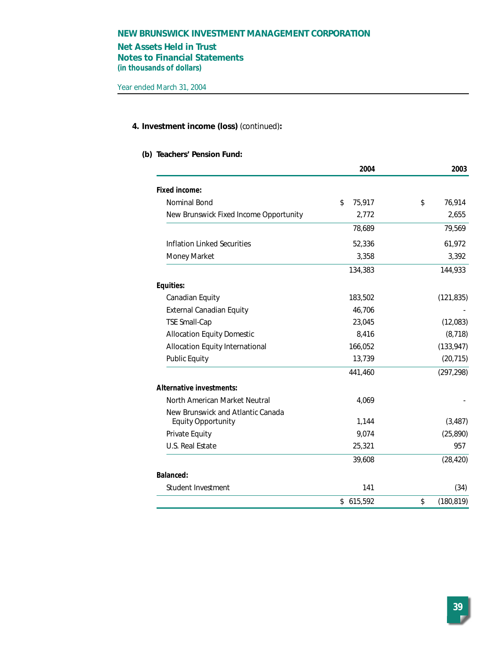# **Net Assets Held in Trust**

**Notes to Financial Statements (in thousands of dollars)**

## **4. Investment income (loss)** *(continued)***:**

## **(b) Teachers' Pension Fund:**

|                                        | 2004         | 2003             |
|----------------------------------------|--------------|------------------|
| Fixed income:                          |              |                  |
| Nominal Bond                           | \$<br>75,917 | \$<br>76,914     |
| New Brunswick Fixed Income Opportunity | 2,772        | 2,655            |
|                                        | 78,689       | 79,569           |
| <b>Inflation Linked Securities</b>     | 52,336       | 61,972           |
| Money Market                           | 3,358        | 3,392            |
|                                        | 134,383      | 144,933          |
| Equities:                              |              |                  |
| Canadian Equity                        | 183,502      | (121, 835)       |
| <b>External Canadian Equity</b>        | 46,706       |                  |
| <b>TSE Small-Cap</b>                   | 23,045       | (12,083)         |
| <b>Allocation Equity Domestic</b>      | 8,416        | (8, 718)         |
| Allocation Equity International        | 166,052      | (133, 947)       |
| <b>Public Equity</b>                   | 13,739       | (20, 715)        |
|                                        | 441,460      | (297, 298)       |
| <b>Alternative investments:</b>        |              |                  |
| North American Market Neutral          | 4,069        |                  |
| New Brunswick and Atlantic Canada      |              |                  |
| <b>Equity Opportunity</b>              | 1,144        | (3, 487)         |
| Private Equity                         | 9,074        | (25, 890)        |
| <b>U.S. Real Estate</b>                | 25,321       | 957              |
|                                        | 39,608       | (28, 420)        |
| Balanced:                              |              |                  |
| Student Investment                     | 141          | (34)             |
|                                        | \$615,592    | \$<br>(180, 819) |